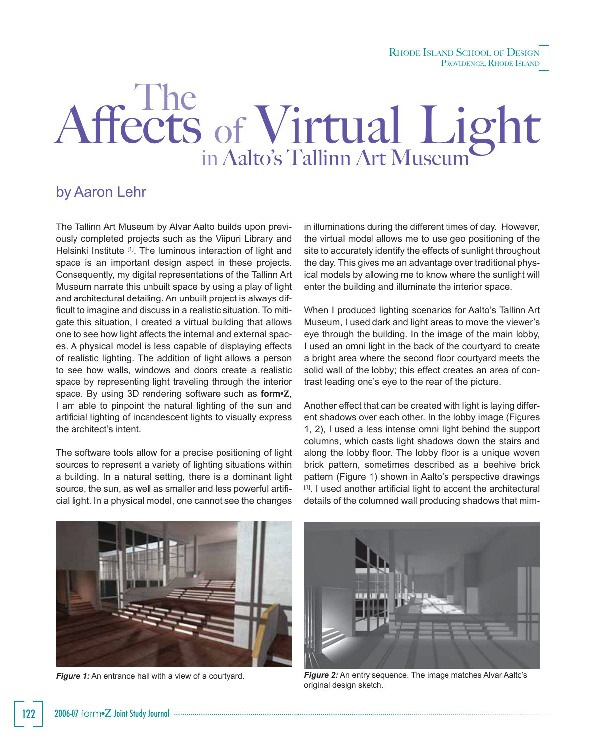RHODE ISLAND SCHOOL OF DESIGN PROVIDENCE, RHODE ISLAND

## Affects of Virtual Light The

## by Aaron Lehr

The Tallinn Art Museum by Alvar Aalto builds upon previously completed projects such as the Viipuri Library and Helsinki Institute [1]. The luminous interaction of light and space is an important design aspect in these projects. Consequently, my digital representations of the Tallinn Art Museum narrate this unbuilt space by using a play of light and architectural detailing. An unbuilt project is always difficult to imagine and discuss in a realistic situation. To mitigate this situation, I created a virtual building that allows one to see how light affects the internal and external spaces. A physical model is less capable of displaying effects of realistic lighting. The addition of light allows a person to see how walls, windows and doors create a realistic space by representing light traveling through the interior space. By using 3D rendering software such as **form•Z**, I am able to pinpoint the natural lighting of the sun and artificial lighting of incandescent lights to visually express the architect's intent.

The software tools allow for a precise positioning of light sources to represent a variety of lighting situations within a building. In a natural setting, there is a dominant light source, the sun, as well as smaller and less powerful artificial light. In a physical model, one cannot see the changes

in illuminations during the different times of day. However, the virtual model allows me to use geo positioning of the site to accurately identify the effects of sunlight throughout the day. This gives me an advantage over traditional physical models by allowing me to know where the sunlight will enter the building and illuminate the interior space.

When I produced lighting scenarios for Aalto's Tallinn Art Museum, I used dark and light areas to move the viewer's eye through the building. In the image of the main lobby, I used an omni light in the back of the courtyard to create a bright area where the second floor courtyard meets the solid wall of the lobby; this effect creates an area of contrast leading one's eye to the rear of the picture.

Another effect that can be created with light is laying different shadows over each other. In the lobby image (Figures 1, 2), I used a less intense omni light behind the support columns, which casts light shadows down the stairs and along the lobby floor. The lobby floor is a unique woven brick pattern, sometimes described as a beehive brick pattern (Figure 1) shown in Aalto's perspective drawings [1]. I used another artificial light to accent the architectural details of the columned wall producing shadows that mim-





*Figure 1:* An entrance hall with a view of a courtyard. *Figure 2:* An entry sequence. The image matches Alvar Aalto's original design sketch.